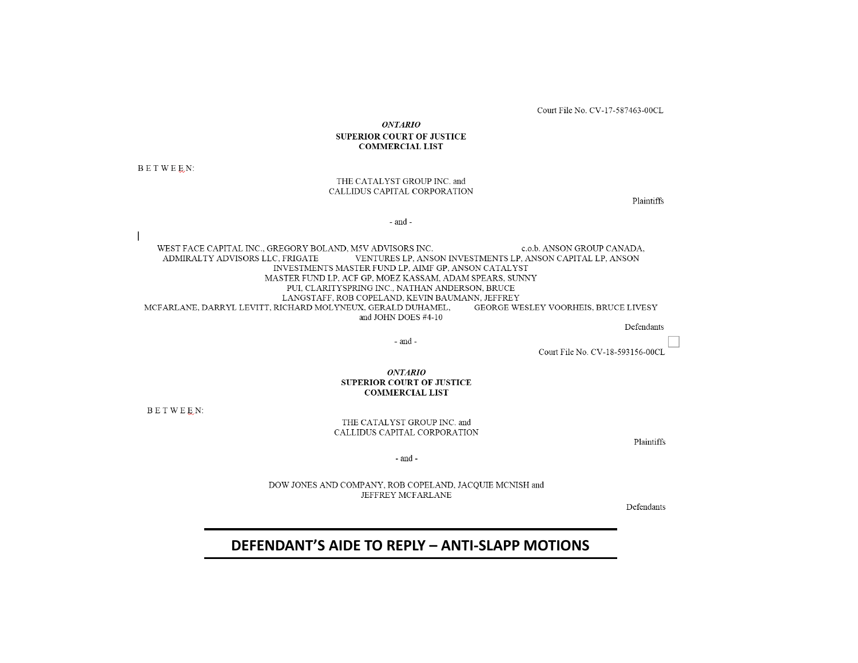Court File No. CV-17-587463-00CL

**ONTARIO** 

#### **SUPERIOR COURT OF JUSTICE COMMERCIAL LIST**

BETWEEN:

#### THE CATALYST GROUP INC. and CALLIDUS CAPITAL CORPORATION

Plaintiffs

- and -

WEST FACE CAPITAL INC., GREGORY BOLAND, M5V ADVISORS INC. c.o.b. ANSON GROUP CANADA, ADMIRALTY ADVISORS LLC, FRIGATE VENTURES LP, ANSON INVESTMENTS LP, ANSON CAPITAL LP, ANSON INVESTMENTS MASTER FUND LP, AIMF GP, ANSON CATALYST MASTER FUND LP, ACF GP, MOEZ KASSAM, ADAM SPEARS, SUNNY PUI, CLARITYSPRING INC., NATHAN ANDERSON, BRUCE LANGSTAFF, ROB COPELAND, KEVIN BAUMANN, JEFFREY MCFARLANE, DARRYL LEVITT, RICHARD MOLYNEUX, GERALD DUHAMEL, GEORGE WESLEY VOORHEIS, BRUCE LIVESY and JOHN DOES #4-10

Defendants

- and -

Court File No. CV-18-593156-00CL

*ONTARIO* **SUPERIOR COURT OF JUSTICE COMMERCIAL LIST** 

BETWEEN:

THE CATALYST GROUP INC. and CALLIDUS CAPITAL CORPORATION

Plaintiffs

 $\mbox{-}$  and  $\mbox{-}$ 

DOW JONES AND COMPANY, ROB COPELAND, JACQUIE MCNISH and JEFFREY MCFARLANE

Defendants

#### **DEFENDANT'S AIDE TO REPLY – ANTI‐SLAPP MOTIONS**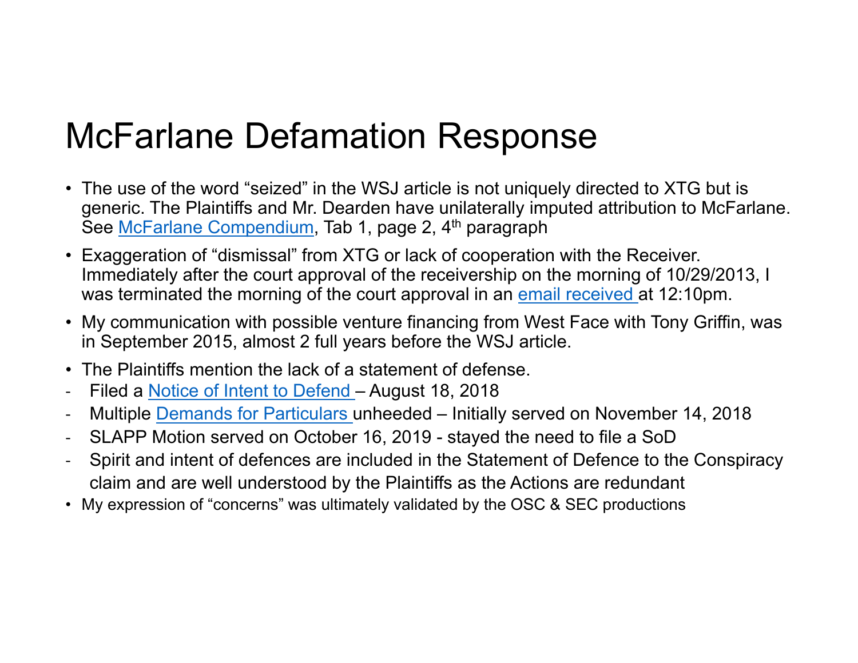### McFarlane Defamation Response

- The use of the word "seized" in the WSJ article is not uniquely directed to XTG but is generic. The Plaintiffs and Mr. Dearden have unilaterally imputed attribution to McFarlane. See [McFarlane Compendium](https://www.dropbox.com/s/p0vdp2oiauhclp2/Compendium - McFarlane.pdf?dl=0), Tab 1, page 2, 4<sup>th</sup> paragraph
- Exaggeration of "dismissal" from XTG or lack of cooperation with the Receiver. Immediately after the court approval of the receivership on the morning of 10/29/2013, I was terminated the morning of the court approval in an [email received a](https://www.dropbox.com/s/a2h02bp92ez4q5t/McFarlane Dismissal - Oct-29-13.pdf?dl=0)t 12:10pm.
- My communication with possible venture financing from West Face with Tony Griffin, was in September 2015, almost 2 full years before the WSJ article.
- The Plaintiffs mention the lack of a statement of defense.
- $\overline{\phantom{a}}$ Filed a [Notice of Intent to Defend –](https://www.dropbox.com/s/4l14qzkpvyd5xqs/CV-18-593156-00CL NOITD.pdf?dl=0) August 18, 2018
- $\blacksquare$ Multiple [Demands for Particulars u](https://www.dropbox.com/s/dk11vsrxvgd7tzd/Demand for Particulars - McFarlane - CV-18-593156-00CL.pdf?dl=0)nheeded – Initially served on November 14, 2018
- $\overline{\phantom{a}}$ SLAPP Motion served on October 16, 2019 - stayed the need to file a SoD
- ‐ Spirit and intent of defences are included in the Statement of Defence to the Conspiracy claim and are well understood by the Plaintiffs as the Actions are redundant
- My expression of "concerns" was ultimately validated by the OSC & SEC productions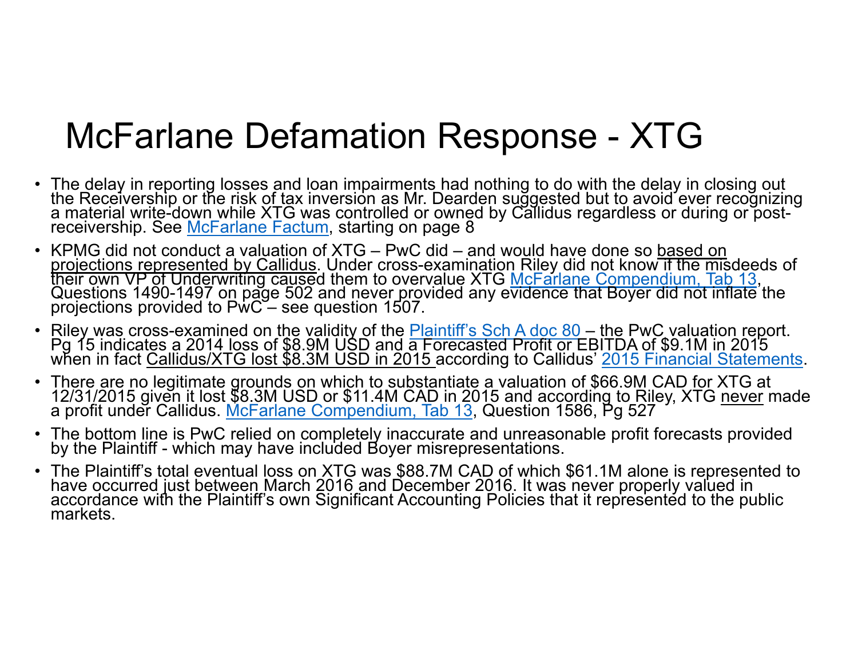### McFarlane Defamation Response - XTG

- The delay in reporting losses and loan impairments had nothing to do with the delay in closing out the Receivership or the risk of tax inversion as Mr. Dearden suggested but to avoid ever recognizing<br>a material write-down while XTG was controlled or owned by Callidus regardless or during or post-<br>receivership. See McFar
- KPMG did not conduct a valuation of XTG PwC did and would have done so based on projections represented by Callidus. Under cross-examination Riley did not know if the misdeeds of<br>their own VP of Underwriting caused them to overvalue XTG <u>McFarlane Compendium, Tab 13,</u><br>Questions 1490-1497 on page 502 a
- ∙ Riley was cross-examined on the validity of the <u>Plaintiff's Sch A doc 80</u> the PwC valuation report.<br>Pg 15 indicates a 2014 loss of \$8.9M USD and a Forecasted Profit or EBITDA of \$9.1M in 2015<br>when in fact <u>Callidus/X</u>
- There are no legitimate grounds on which to substantiate a valuation of \$66.9M CAD for XTG at<br>12/31/2015 given it lost \$8.3M USD or \$11.4M CAD in 2015 and according to Riley, XTG <u>never</u> made<br>a profit under Callidus. <u>McFa</u>
- The bottom line is PwC relied on completely inaccurate and unreasonable profit forecasts provided<br>by the Plaintiff which may have included Boyer misrepresentations.
- The Plaintiff's total eventual loss on XTG was \$88.7M CAD of which \$61.1M alone is represented to<br>have occurred just between March 2016 and December 2016. It was never properly valued in<br>accordance with the Plaintiff's o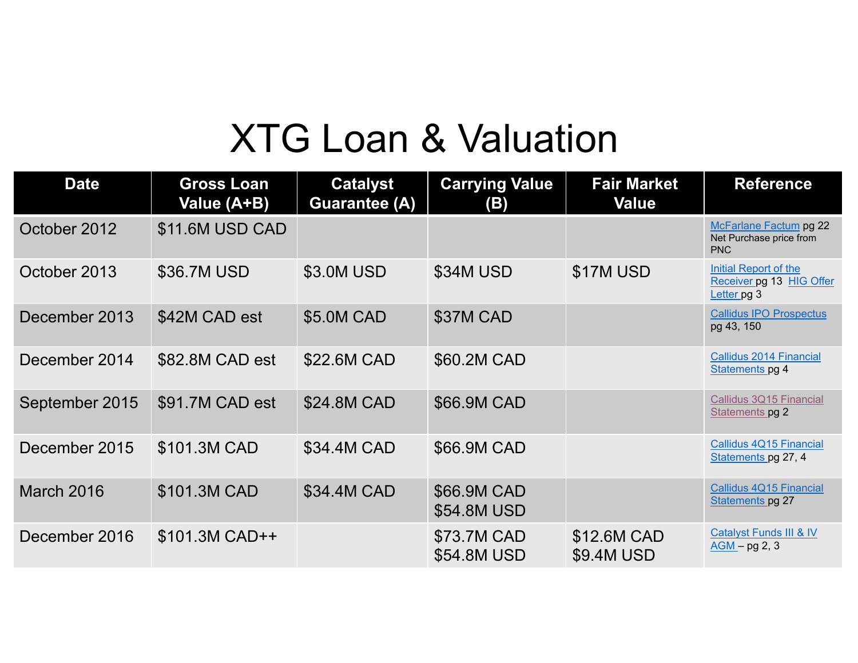# XTG Loan & Valuation

| <b>Date</b>    | <b>Gross Loan</b><br>Value (A+B) | <b>Catalyst</b><br><b>Guarantee (A)</b> | <b>Carrying Value</b><br>(B) | <b>Fair Market</b><br><b>Value</b> | <b>Reference</b>                                                 |
|----------------|----------------------------------|-----------------------------------------|------------------------------|------------------------------------|------------------------------------------------------------------|
| October 2012   | \$11.6M USD CAD                  |                                         |                              |                                    | McFarlane Factum pg 22<br>Net Purchase price from<br><b>PNC</b>  |
| October 2013   | \$36.7M USD                      | \$3.0M USD                              | \$34M USD                    | \$17M USD                          | Initial Report of the<br>Receiver pg 13 HIG Offer<br>Letter pg 3 |
| December 2013  | \$42M CAD est                    | \$5.0M CAD                              | \$37M CAD                    |                                    | <b>Callidus IPO Prospectus</b><br>pg 43, 150                     |
| December 2014  | \$82.8M CAD est                  | \$22.6M CAD                             | \$60.2M CAD                  |                                    | <b>Callidus 2014 Financial</b><br>Statements pg 4                |
| September 2015 | \$91.7M CAD est                  | \$24.8M CAD                             | \$66.9M CAD                  |                                    | Callidus 3Q15 Financial<br>Statements pg 2                       |
| December 2015  | \$101.3M CAD                     | \$34.4M CAD                             | \$66.9M CAD                  |                                    | Callidus 4Q15 Financial<br>Statements pg 27, 4                   |
| March 2016     | \$101.3M CAD                     | \$34.4M CAD                             | \$66.9M CAD<br>\$54.8M USD   |                                    | Callidus 4Q15 Financial<br>Statements pg 27                      |
| December 2016  | $$101.3M$ CAD++                  |                                         | \$73.7M CAD<br>\$54.8M USD   | \$12.6M CAD<br>\$9.4M USD          | <b>Catalyst Funds III &amp; IV</b><br>$AGM - pg$ 2, 3            |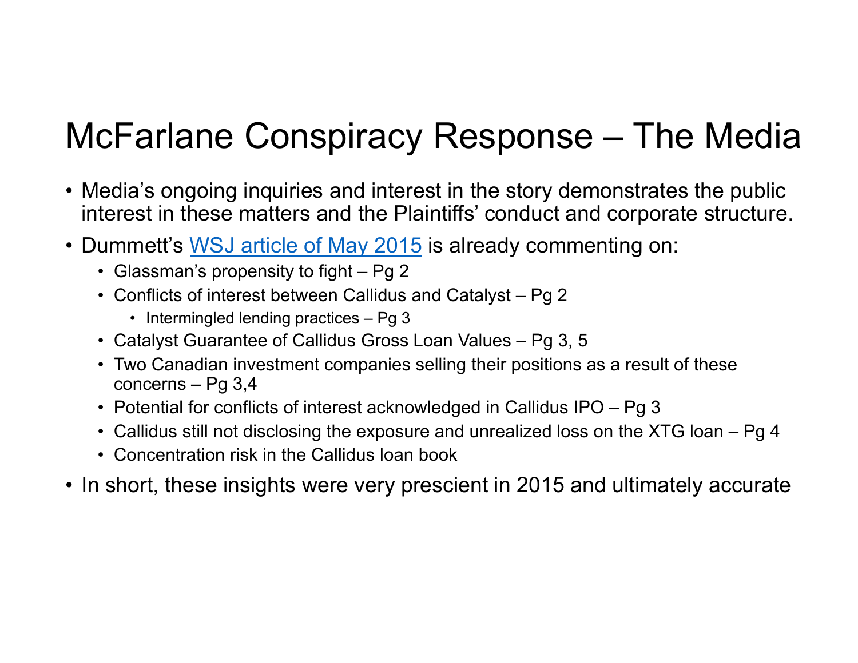# McFarlane Conspiracy Response – The Media

- Media's ongoing inquiries and interest in the story demonstrates the public interest in these matters and the Plaintiffs' conduct and corporate structure.
- Dummett's <u>WSJ article of [May 2015](https://www.dropbox.com/s/65nrvrnir0ti3k8/114  Dummett Article May 11 2015  AND0000731.pdf?dl=0)</u> is already commenting on:
	- Glassman's propensity to fight Pg 2
	- Conflicts of interest between Callidus and Catalyst Pg 2
		- Intermingled lending practices Pg 3
	- Catalyst Guarantee of Callidus Gross Loan Values Pg 3, 5
	- Two Canadian investment companies selling their positions as a result of these concerns – Pg 3,4
	- Potential for conflicts of interest acknowledged in Callidus IPO Pg 3
	- Callidus still not disclosing the exposure and unrealized loss on the XTG loan Pg 4
	- Concentration risk in the Callidus loan book
- In short, these insights were very prescient in 2015 and ultimately accurate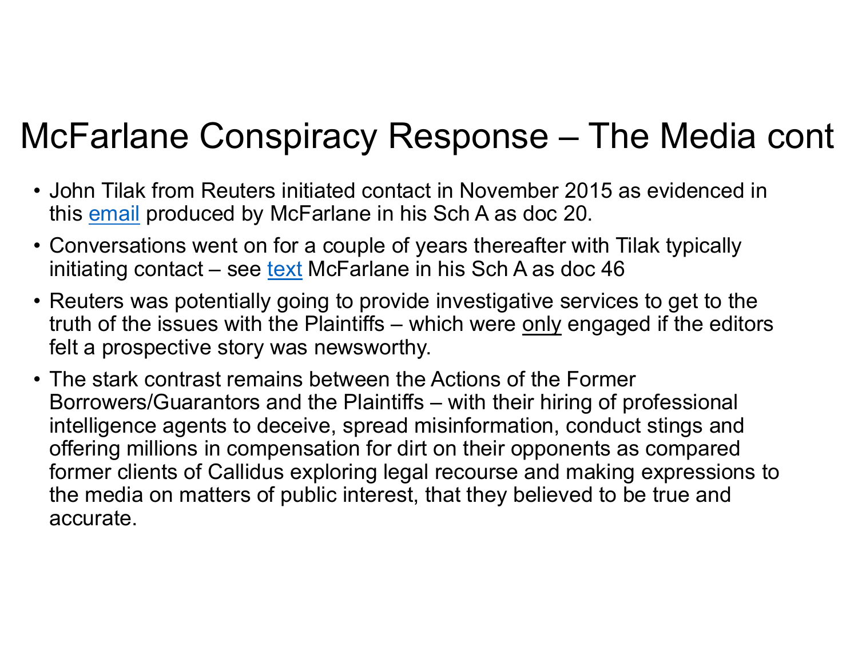## McFarlane Conspiracy Response – The Media cont

- John Tilak from Reuters initiated contact in November 2015 as evidenced in this <u>email</u> produced by McFarlane in his Sch A as doc 20.
- Conversations went on for a couple of years thereafter with Tilak typically initiating contact – see [text](https://www.dropbox.com/s/od14mlb17qz0i3k/46 - Texts from John Tilak.pdf?dl=0) McFarlane in his Sch A as doc  $46$
- Reuters was potentially going to provide investigative services to get to the truth of the issues with the Plaintiffs – which were only engaged if the editors felt a prospective story was newsworthy.
- The stark contrast remains between the Actions of the Former Borrowers/Guarantors and the Plaintiffs – with their hiring of professional intelligence agents to deceive, spread misinformation, conduct stings and offering millions in compensation for dirt on their opponents as compared former clients of Callidus exploring legal recourse and making expressions to the media on matters of public interest, that they believed to be true and accurate.